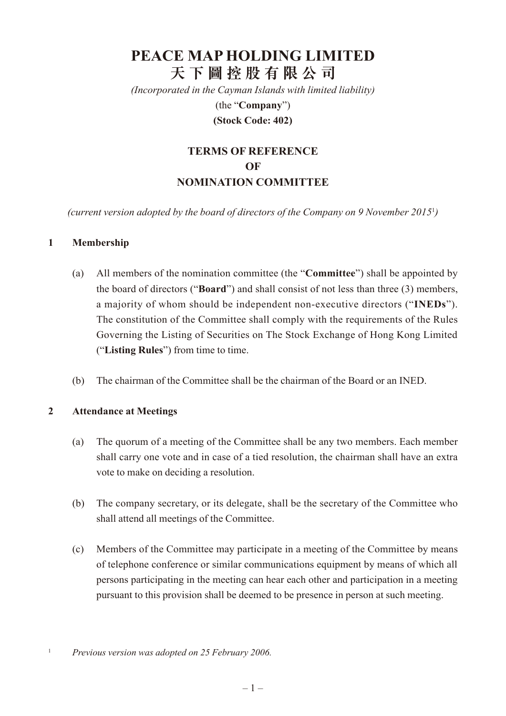# **PEACE MAP HOLDING LIMITED 天 下 圖 控 股 有 限 公 司**

*(Incorporated in the Cayman Islands with limited liability)* (the "**Company**")

#### **(Stock Code: 402)**

## **Terms of Reference of NOMINATION COMMITTEE**

*(current version adopted by the board of directors of the Company on 9 November 2015*<sup>1</sup> *)*

#### **1 Membership**

- (a) All members of the nomination committee (the "**Committee**") shall be appointed by the board of directors ("**Board**") and shall consist of not less than three (3) members, a majority of whom should be independent non-executive directors ("**INEDs**"). The constitution of the Committee shall comply with the requirements of the Rules Governing the Listing of Securities on The Stock Exchange of Hong Kong Limited ("**Listing Rules**") from time to time.
- (b) The chairman of the Committee shall be the chairman of the Board or an INED.

#### **2 Attendance at Meetings**

- (a) The quorum of a meeting of the Committee shall be any two members. Each member shall carry one vote and in case of a tied resolution, the chairman shall have an extra vote to make on deciding a resolution.
- (b) The company secretary, or its delegate, shall be the secretary of the Committee who shall attend all meetings of the Committee.
- (c) Members of the Committee may participate in a meeting of the Committee by means of telephone conference or similar communications equipment by means of which all persons participating in the meeting can hear each other and participation in a meeting pursuant to this provision shall be deemed to be presence in person at such meeting.

<sup>1</sup> *Previous version was adopted on 25 February 2006.*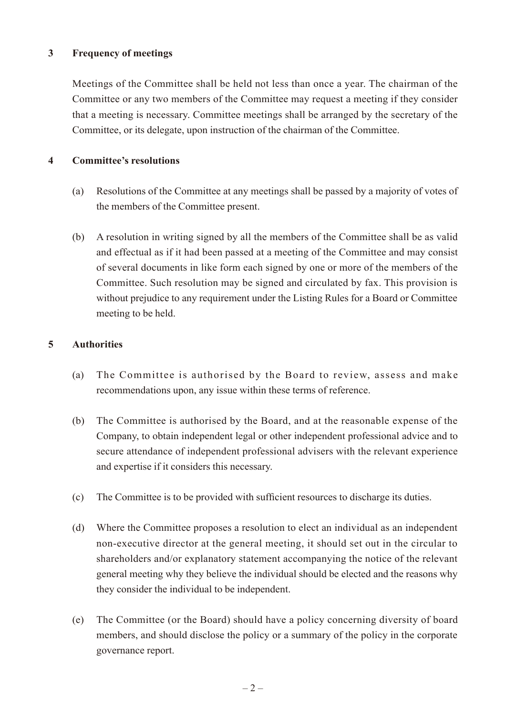#### **3 Frequency of meetings**

Meetings of the Committee shall be held not less than once a year. The chairman of the Committee or any two members of the Committee may request a meeting if they consider that a meeting is necessary. Committee meetings shall be arranged by the secretary of the Committee, or its delegate, upon instruction of the chairman of the Committee.

#### **4 Committee's resolutions**

- (a) Resolutions of the Committee at any meetings shall be passed by a majority of votes of the members of the Committee present.
- (b) A resolution in writing signed by all the members of the Committee shall be as valid and effectual as if it had been passed at a meeting of the Committee and may consist of several documents in like form each signed by one or more of the members of the Committee. Such resolution may be signed and circulated by fax. This provision is without prejudice to any requirement under the Listing Rules for a Board or Committee meeting to be held.

#### **5 Authorities**

- (a) The Committee is authorised by the Board to review, assess and make recommendations upon, any issue within these terms of reference.
- (b) The Committee is authorised by the Board, and at the reasonable expense of the Company, to obtain independent legal or other independent professional advice and to secure attendance of independent professional advisers with the relevant experience and expertise if it considers this necessary.
- (c) The Committee is to be provided with sufficient resources to discharge its duties.
- (d) Where the Committee proposes a resolution to elect an individual as an independent non-executive director at the general meeting, it should set out in the circular to shareholders and/or explanatory statement accompanying the notice of the relevant general meeting why they believe the individual should be elected and the reasons why they consider the individual to be independent.
- (e) The Committee (or the Board) should have a policy concerning diversity of board members, and should disclose the policy or a summary of the policy in the corporate governance report.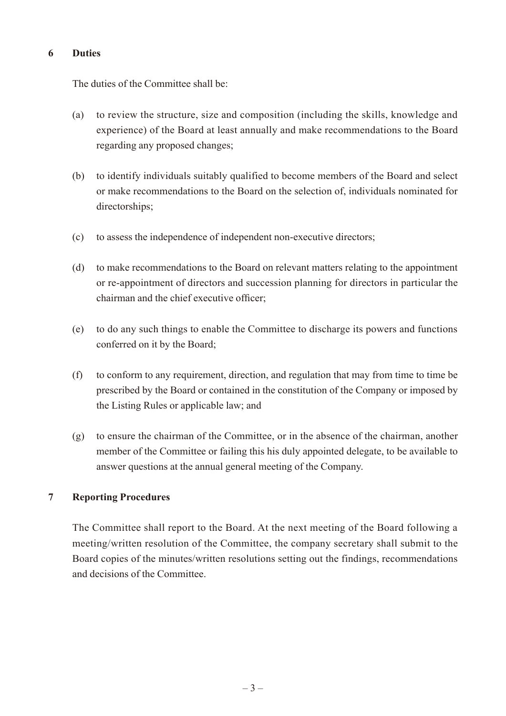#### **6 Duties**

The duties of the Committee shall be:

- (a) to review the structure, size and composition (including the skills, knowledge and experience) of the Board at least annually and make recommendations to the Board regarding any proposed changes;
- (b) to identify individuals suitably qualified to become members of the Board and select or make recommendations to the Board on the selection of, individuals nominated for directorships;
- (c) to assess the independence of independent non-executive directors;
- (d) to make recommendations to the Board on relevant matters relating to the appointment or re-appointment of directors and succession planning for directors in particular the chairman and the chief executive officer;
- (e) to do any such things to enable the Committee to discharge its powers and functions conferred on it by the Board;
- (f) to conform to any requirement, direction, and regulation that may from time to time be prescribed by the Board or contained in the constitution of the Company or imposed by the Listing Rules or applicable law; and
- (g) to ensure the chairman of the Committee, or in the absence of the chairman, another member of the Committee or failing this his duly appointed delegate, to be available to answer questions at the annual general meeting of the Company.

#### **7 Reporting Procedures**

The Committee shall report to the Board. At the next meeting of the Board following a meeting/written resolution of the Committee, the company secretary shall submit to the Board copies of the minutes/written resolutions setting out the findings, recommendations and decisions of the Committee.